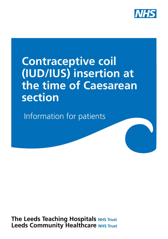

# **Contraceptive coil (IUD/IUS) insertion at the time of Caesarean section**

Information for patients

**The Leeds Teaching Hospitals NHS Trust Leeds Community Healthcare NHS Trust**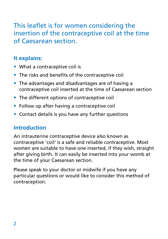# This leaflet is for women considering the insertion of the contraceptive coil at the time of Caesarean section.

# **It explains:**

- What a contraceptive coil is
- The risks and benefits of the contraceptive coil
- The advantages and disadvantages are of having a contraceptive coil inserted at the time of Caesarean section
- The different options of contraceptive coil
- Follow up after having a contraceptive coil
- Contact details is you have any further questions

# **Introduction**

An intrauterine contraceptive device also known as contraceptive 'coil' is a safe and reliable contraceptive. Most women are suitable to have one inserted, if they wish, straight after giving birth. It can easily be inserted into your womb at the time of your Caesarean section.

Please speak to your doctor or midwife if you have any particular questions or would like to consider this method of contraception.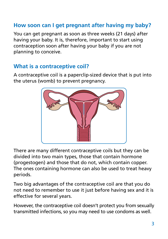# **How soon can I get pregnant after having my baby?**

You can get pregnant as soon as three weeks (21 days) after having your baby. It is, therefore, important to start using contraception soon after having your baby if you are not planning to conceive.

### **What is a contraceptive coil?**

A contraceptive coil is a paperclip-sized device that is put into the uterus (womb) to prevent pregnancy.



There are many different contraceptive coils but they can be divided into two main types, those that contain hormone (progestogen) and those that do not, which contain copper. The ones containing hormone can also be used to treat heavy periods.

Two big advantages of the contraceptive coil are that you do not need to remember to use it just before having sex and it is effective for several years.

However, the contraceptive coil doesn't protect you from sexually transmitted infections, so you may need to use condoms as well.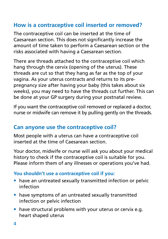# **How is a contraceptive coil inserted or removed?**

The contraceptive coil can be inserted at the time of Caesarean section. This does not significantly increase the amount of time taken to perform a Caesarean section or the risks associated with having a Caesarean section.

There are threads attached to the contraceptive coil which hang through the cervix (opening of the uterus). These threads are cut so that they hang as far as the top of your vagina. As your uterus contracts and returns to its prepregnancy size after having your baby (this takes about six weeks), you may need to have the threads cut further. This can be done at your GP surgery during your postnatal review.

If you want the contraceptive coil removed or replaced a doctor, nurse or midwife can remove it by pulling gently on the threads.

# **Can anyone use the contraceptive coil?**

Most people with a uterus can have a contraceptive coil inserted at the time of Caesarean section.

Your doctor, midwife or nurse will ask you about your medical history to check if the contraceptive coil is suitable for you. Please inform them of any illnesses or operations you've had.

#### **You shouldn't use a contraceptive coil if you:**

- have an untreated sexually transmitted infection or pelvic infection
- have symptoms of an untreated sexually transmitted infection or pelvic infection
- have structural problems with your uterus or cervix e.g. heart shaped uterus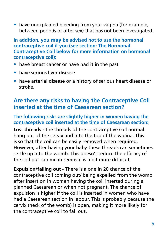• have unexplained bleeding from your vagina (for example, between periods or after sex) that has not been investigated.

**In addition, you** may **be advised not to use the hormonal contraceptive coil if you (see section: The Hormonal Contraceptive Coil below for more information on hormonal contraceptive coil):**

- have breast cancer or have had it in the past
- have serious liver disease
- have arterial disease or a history of serious heart disease or stroke.

# **Are there any risks to having the Contraceptive Coil inserted at the time of Caesarean section?**

#### **The following risks are slightly higher in women having the contraceptive coil inserted at the time of Caesarean section:**

**Lost threads -** the threads of the contraceptive coil normal hang out of the cervix and into the top of the vagina. This is so that the coil can be easily removed when required. However, after having your baby these threads can sometimes settle up into the womb. This doesn't reduce the efficacy of the coil but can mean removal is a bit more difficult.

**Expulsion/falling out -** There is a one in 20 chance of the contraceptive coil coming out/ being expelled from the womb after insertion in women having the coil inserted during a planned Caesarean or when not pregnant. The chance of expulsion is higher if the coil is inserted in women who have had a Caesarean section in labour. This is probably because the cervix (neck of the womb) is open, making it more likely for the contraceptive coil to fall out.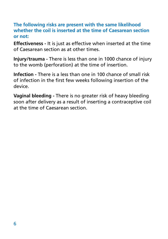#### **The following risks are present with the same likelihood whether the coil is inserted at the time of Caesarean section or not:**

**Effectiveness -** It is just as effective when inserted at the time of Caesarean section as at other times.

**Injury/trauma -** There is less than one in 1000 chance of injury to the womb (perforation) at the time of insertion.

**Infection -** There is a less than one in 100 chance of small risk of infection in the first few weeks following insertion of the device.

**Vaginal bleeding -** There is no greater risk of heavy bleeding soon after delivery as a result of inserting a contraceptive coil at the time of Caesarean section.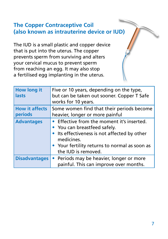## **The Copper Contraceptive Coil (also known as intrauterine device or IUD)**

The IUD is a small plastic and copper device that is put into the uterus. The copper prevents sperm from surviving and alters your cervical mucus to prevent sperm from reaching an egg. It may also stop a fertilised egg implanting in the uterus.

| <b>How long it</b><br>lasts      | Five or 10 years, depending on the type,<br>but can be taken out sooner. Copper T Safe<br>works for 10 years.                                                                                                    |
|----------------------------------|------------------------------------------------------------------------------------------------------------------------------------------------------------------------------------------------------------------|
| <b>How it affects</b><br>periods | Some women find that their periods become<br>heavier, longer or more painful                                                                                                                                     |
| <b>Advantages</b>                | • Effective from the moment it's inserted.<br>• You can breastfeed safely.<br>• Its effectiveness is not affected by other<br>medicines.<br>• Your fertility returns to normal as soon as<br>the IUD is removed. |
| <b>Disadvantages</b>             | • Periods may be heavier, longer or more<br>painful. This can improve over months.                                                                                                                               |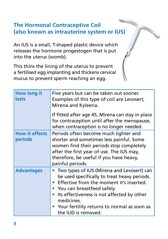# **The Hormonal Contraceptive Coil (also known as intrauterine system or IUS)**

An IUS is a small, T-shaped plastic device which releases the hormone progestogen that is put into the uterus (womb).

This thins the lining of the uterus to prevent a fertilised egg implanting and thickens cervical mucus to prevent sperm reaching an egg.

| <b>How long it</b><br>lasts      | Five years but can be taken out sooner.<br>Examples of this type of coil are Levosert,<br>Mirena and Kyleena.                                                                                                                                                                                            |
|----------------------------------|----------------------------------------------------------------------------------------------------------------------------------------------------------------------------------------------------------------------------------------------------------------------------------------------------------|
|                                  | If fitted after age 45, Mirena can stay in place<br>for contraception until after the menopause,<br>when contraception is no longer needed.                                                                                                                                                              |
| <b>How it affects</b><br>periods | Periods often become much lighter and<br>shorter and sometimes less painful. Some<br>women find their periods stop completely<br>after the first year of use. The IUS may,<br>therefore, be useful if you have heavy,<br>painful periods.                                                                |
| <b>Advantages</b>                | Two types of IUS (Mirena and Levosert) can<br>be used specifically to treat heavy periods.<br>Effective from the moment it's inserted.<br>• You can breastfeed safely.<br>Its effectiveness is not affected by other<br>medicines.<br>Your fertility returns to normal as soon as<br>the IUD is removed. |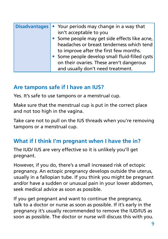|  | Disadvantages • Your periods may change in a way that<br>isn't acceptable to you |
|--|----------------------------------------------------------------------------------|
|  | • Some people may get side effects like acne,                                    |
|  | headaches or breast tenderness which tend                                        |
|  | to improve after the first few months.                                           |
|  | • Some people develop small fluid-filled cysts                                   |
|  | on their ovaries. These aren't dangerous                                         |
|  | and usually don't need treatment.                                                |

### **Are tampons safe if I have an IUS?**

Yes. It's safe to use tampons or a menstrual cup.

Make sure that the menstrual cup is put in the correct place and not too high in the vagina.

Take care not to pull on the IUS threads when you're removing tampons or a menstrual cup.

## **What if I think I'm pregnant when I have the in?**

The IUD/ IUS are very effective so it is unlikely you'll get pregnant.

However, if you do, there's a small increased risk of ectopic pregnancy. An ectopic pregnancy develops outside the uterus, usually in a fallopian tube. If you think you might be pregnant and/or have a sudden or unusual pain in your lower abdomen, seek medical advice as soon as possible.

If you get pregnant and want to continue the pregnancy, talk to a doctor or nurse as soon as possible. If it's early in the pregnancy it's usually recommended to remove the IUD/IUS as soon as possible. The doctor or nurse will discuss this with you.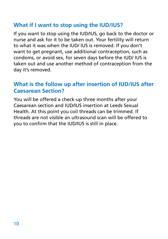## **What if I want to stop using the IUD/IUS?**

If you want to stop using the IUD/IUS, go back to the doctor or nurse and ask for it to be taken out. Your fertility will return to what it was when the IUD/ IUS is removed. If you don't want to get pregnant, use additional contraception, such as condoms, or avoid sex, for seven days before the IUD/ IUS is taken out and use another method of contraception from the day it's removed.

## **What is the follow up after insertion of IUD/IUS after Caesarean Section?**

You will be offered a check-up three months after your Caesarean section and IUD/IUS insertion at Leeds Sexual Health. At this point you coil threads can be trimmed. If threads are not visible an ultrasound scan will be offered to you to confirm that the IUD/IUS is still in place.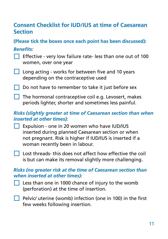## **Consent Checklist for IUD/IUS at time of Caesarean Section**

**(Please tick the boxes once each point has been discussed):**

#### *Benefits:*

- Effective very low failure rate- less than one out of 100 women, over one year
- **Long acting works for between five and 10 years** depending on the contraceptive used
- Do not have to remember to take it just before sex
- $\Box$  The hormonal contraceptive coil e.g. Levosert, makes periods lighter, shorter and sometimes less painful.

#### *Risks (slightly greater at time of Caesarean section than when inserted at other times):*

Expulsion - one in 20 women who have IUD/IUS inserted during planned Caesarean section or when not pregnant. Risk is higher if IUD/IUS is inserted if a woman recently been in labour.

**Lost threads- this does not affect how effective the coil** is but can make its removal slightly more challenging.

#### *Risks (no greater risk at the time of Caesarean section than when inserted at other times):*

- **Less than one in 1000 chance of injury to the womb** (perforation) at the time of insertion.
- $\Box$  Pelvic/ uterine (womb) infection (one in 100) in the first few weeks following insertion.